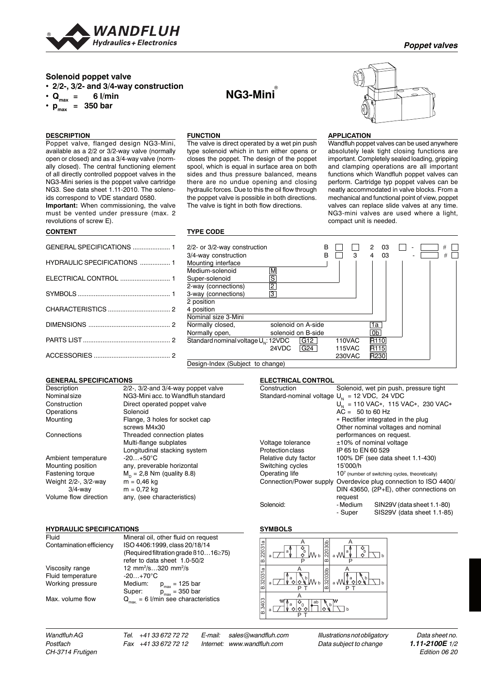

# **Solenoid poppet valve**

**• 2/2-, 3/2- and 3/4-way construction**

 $\cdot$  Q<sub>max</sub> = 6 l/min

 $\cdot$  **p**<sub>max</sub> = 350 bar

# **DESCRIPTION**

Poppet valve, flanged design NG3-Mini, available as a 2/2 or 3/2-way valve (normally open or closed) and as a 3/4-way valve (normally closed). The central functioning element of all directly controlled poppoet valves in the NG3-Mini series is the poppet valve cartridge NG3. See data sheet 1.11-2010. The solenoids correspond to VDE standard 0580.

**Important:** When commissioning, the valve must be vented under pressure (max. 2 revolutions of screw E).

### **CONTENT**

| GENERAL SPECIFICATIONS  1   |  |
|-----------------------------|--|
| HYDRAULIC SPECIFICATIONS  1 |  |
|                             |  |
|                             |  |
|                             |  |
|                             |  |
|                             |  |
|                             |  |

Description 2/2-, 3/2-and 3/4-way poppet valve Nominal size **NG3-Mini acc. to Wandfluh standard**<br>
Construction **Direct** operated poppet valve

Connections Threaded connection plates

Mounting position any, preverable horizontal<br>Fastening torque  $M_p = 2.8$  Nm (quality 8.8)

Volume flow direction any, (see characteristics)

Viscosity range 12 mm<sup>2</sup>/s...320 mm<sup>2</sup>/s

Working pressure Medium:  $p_{max} = 125$  bar

Fluid temperature -20...+70°C

screws M4x30

 $m = 0,72$  kg

Fluid Mineral oil, other fluid on request<br>Contamination efficiency ISO 4406:1999. class 20/18/14

Max. volume flow  $Q_{\text{max.}} = 6$  l/min see characteristics

Multi-flange subplates Longitudinal stacking system

 $M_D = 2,8$  Nm (quality 8.8)<br>m = 0,46 kg

Direct operated poppet valve

Flange, 3 holes for socket cap

**GENERAL SPECIFICATIONS**

Operations Solenoid<br>
Mounting Flange, 3

Ambient temperature -20...+50°C

**HYDRAULIC SPECIFICATIONS**

Weight 2/2-, 3/2-way<br>3/4-way

# **FUNCTION**

The valve is direct operated by a wet pin push type solenoid which in turn either opens or closes the poppet. The design of the poppet spool, which is equal in surface area on both sides and thus pressure balanced, means there are no undue opening and closing hydraulic forces. Due to this the oil flow through the poppet valve is possible in both directions. The valve is tight in both flow directions.

**NG3-Mini**®



## **APPLICATION**

Wandfluh poppet valves can be used anywhere absolutely leak tight closing functions are important. Completely sealed loading, gripping and clamping operations are all important functions which Wandfluh poppet valves can perform. Cartridge typ poppet valves can be neatly accommodated in valve blocks. From a mechanical and functional point of view, poppet valves can replace slide valves at any time. NG3-mini valves are used where a light, compact unit is needed.

### **TYPE CODE**

| 2/2- or 3/2-way construction                    |                          | B |               | っ<br>03          |  | # |
|-------------------------------------------------|--------------------------|---|---------------|------------------|--|---|
| 3/4-way construction                            |                          | в | 3             | 03               |  | # |
| Mounting interface                              |                          |   |               |                  |  |   |
| Medium-solenoid                                 | $\overline{\mathsf{M}}$  |   |               |                  |  |   |
| Super-solenoid                                  | $\overline{s}$           |   |               |                  |  |   |
| 2-way (connections)                             | $\overline{c}$           |   |               |                  |  |   |
| 3-way (connections)                             | $\overline{3}$           |   |               |                  |  |   |
| 2 position                                      |                          |   |               |                  |  |   |
| 4 position                                      |                          |   |               |                  |  |   |
| Nominal size 3-Mini                             |                          |   |               |                  |  |   |
| Normally closed,                                | solenoid on A-side       |   |               | 1a               |  |   |
| Normally open,                                  | solenoid on B-side       |   |               | 0b               |  |   |
| Standard nominal voltage U <sub>N</sub> : 12VDC | G12                      |   | 110VAC        | R <sub>110</sub> |  |   |
|                                                 | 24VDC<br>G <sub>24</sub> |   | <b>115VAC</b> | R <sub>115</sub> |  |   |
|                                                 |                          |   | 230VAC        | R230             |  |   |

Design-Index (Subject to change)

#### **ELECTRICAL CONTROL**

| Construction                                      |                                    | Solenoid, wet pin push, pressure tight            |  |  |
|---------------------------------------------------|------------------------------------|---------------------------------------------------|--|--|
| Standard-nominal voltage $U_{N} = 12$ VDC, 24 VDC |                                    |                                                   |  |  |
|                                                   |                                    | $U_{N}$ = 110 VAC*, 115 VAC*, 230 VAC*            |  |  |
|                                                   | $AC = 50$ to 60 Hz                 |                                                   |  |  |
|                                                   |                                    | * Rectifier integrated in the plug                |  |  |
|                                                   | Other nominal voltages and nominal |                                                   |  |  |
|                                                   |                                    | performances on request.                          |  |  |
| Voltage tolerance                                 |                                    | ±10% of nominal voltage                           |  |  |
| Protection class                                  | IP 65 to EN 60 529                 |                                                   |  |  |
| Relative duty factor                              |                                    | 100% DF (see data sheet 1.1-430)                  |  |  |
| Switching cycles                                  | 15'000/h                           |                                                   |  |  |
| Operating life                                    |                                    | $107$ (number of switching cycles, theoretically) |  |  |
| Connection/Power supply                           |                                    | Overdevice plug connection to ISO 4400/           |  |  |
|                                                   |                                    | DIN 43650, $(2P+E)$ , other connections on        |  |  |
|                                                   | request                            |                                                   |  |  |
| Solenoid:                                         | - Medium                           | SIN29V (data sheet 1.1-80)                        |  |  |
|                                                   | - Super                            | SIS29V (data sheet 1.1-85)                        |  |  |

#### **SYMBOLS**



*CH-3714 Frutigen Edition 06 20*

*Postfach Fax +41 33 672 72 12 Internet: www.wandfluh.com Data subject to change 1.11-2100E 1/2*

ISO 4406:1999, class 20/18/14 (Required filtration grade ß10…16≥75) refer to data sheet 1.0-50/2

Super:  $p_{\text{max}} = 350$  bar

*Wandfluh AG Tel. +41 33 672 72 72 E-mail: sales@wandfluh.com Illustrations not obligatory Data sheet no.*

### *Poppet valves*